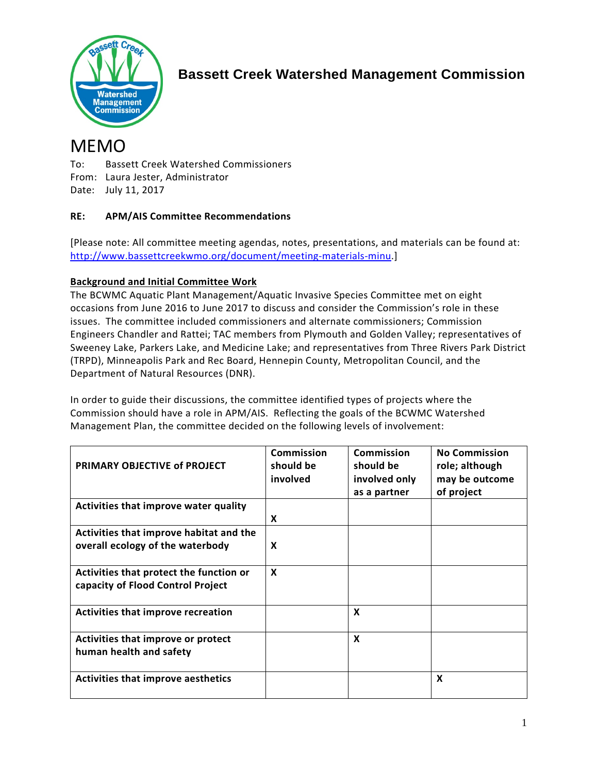

# **Bassett Creek Watershed Management Commission**

# MEMO

To: Bassett Creek Watershed Commissioners From: Laura Jester, Administrator Date: July 11, 2017

# **RE: APM/AIS Committee Recommendations**

[Please note: All committee meeting agendas, notes, presentations, and materials can be found at: [http://www.bassettcreekwmo.org/document/meeting-materials-minu.](http://www.bassettcreekwmo.org/document/meeting-materials-minu)]

# **Background and Initial Committee Work**

The BCWMC Aquatic Plant Management/Aquatic Invasive Species Committee met on eight occasions from June 2016 to June 2017 to discuss and consider the Commission's role in these issues. The committee included commissioners and alternate commissioners; Commission Engineers Chandler and Rattei; TAC members from Plymouth and Golden Valley; representatives of Sweeney Lake, Parkers Lake, and Medicine Lake; and representatives from Three Rivers Park District (TRPD), Minneapolis Park and Rec Board, Hennepin County, Metropolitan Council, and the Department of Natural Resources (DNR).

In order to guide their discussions, the committee identified types of projects where the Commission should have a role in APM/AIS. Reflecting the goals of the BCWMC Watershed Management Plan, the committee decided on the following levels of involvement:

| PRIMARY OBJECTIVE of PROJECT                                                 | Commission<br>should be<br>involved | Commission<br>should be<br>involved only<br>as a partner | <b>No Commission</b><br>role; although<br>may be outcome<br>of project |
|------------------------------------------------------------------------------|-------------------------------------|----------------------------------------------------------|------------------------------------------------------------------------|
| Activities that improve water quality                                        | X                                   |                                                          |                                                                        |
| Activities that improve habitat and the<br>overall ecology of the waterbody  | X                                   |                                                          |                                                                        |
| Activities that protect the function or<br>capacity of Flood Control Project | $\boldsymbol{x}$                    |                                                          |                                                                        |
| Activities that improve recreation                                           |                                     | X                                                        |                                                                        |
| Activities that improve or protect<br>human health and safety                |                                     | X                                                        |                                                                        |
| <b>Activities that improve aesthetics</b>                                    |                                     |                                                          | X                                                                      |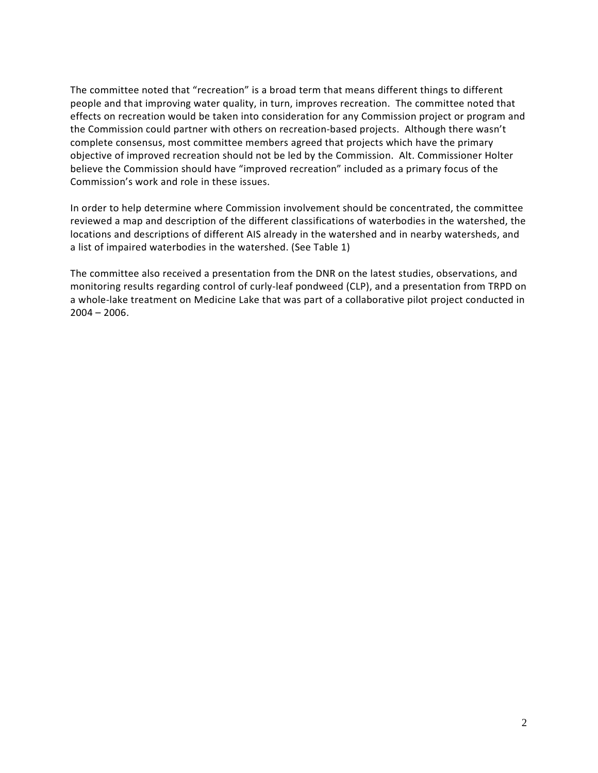The committee noted that "recreation" is a broad term that means different things to different people and that improving water quality, in turn, improves recreation. The committee noted that effects on recreation would be taken into consideration for any Commission project or program and the Commission could partner with others on recreation-based projects. Although there wasn't complete consensus, most committee members agreed that projects which have the primary objective of improved recreation should not be led by the Commission. Alt. Commissioner Holter believe the Commission should have "improved recreation" included as a primary focus of the Commission's work and role in these issues.

In order to help determine where Commission involvement should be concentrated, the committee reviewed a map and description of the different classifications of waterbodies in the watershed, the locations and descriptions of different AIS already in the watershed and in nearby watersheds, and a list of impaired waterbodies in the watershed. (See Table 1)

The committee also received a presentation from the DNR on the latest studies, observations, and monitoring results regarding control of curly-leaf pondweed (CLP), and a presentation from TRPD on a whole-lake treatment on Medicine Lake that was part of a collaborative pilot project conducted in  $2004 - 2006$ .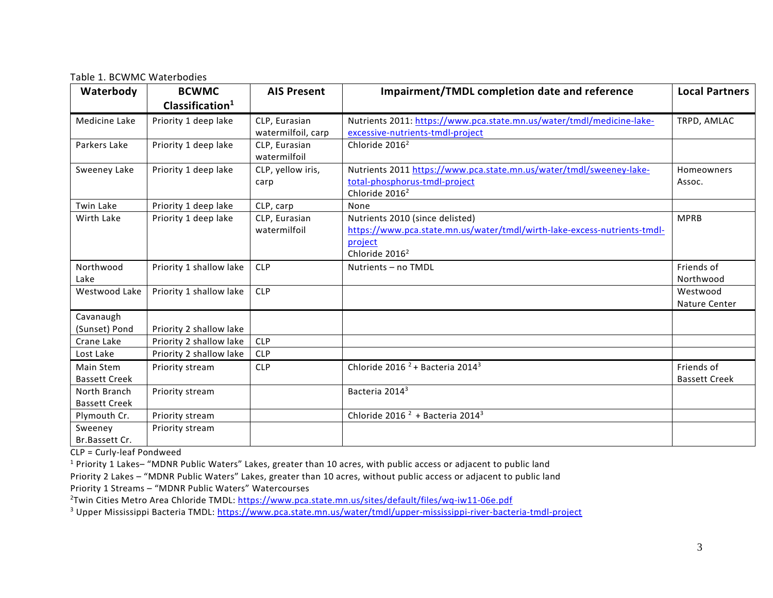Table 1. BCWMC Waterbodies

| Waterbody                            | <b>BCWMC</b><br>Clasification <sup>1</sup> | <b>AIS Present</b>                  | <b>Impairment/TMDL completion date and reference</b>                                                                                                 | <b>Local Partners</b>              |
|--------------------------------------|--------------------------------------------|-------------------------------------|------------------------------------------------------------------------------------------------------------------------------------------------------|------------------------------------|
| Medicine Lake                        | Priority 1 deep lake                       | CLP, Eurasian<br>watermilfoil, carp | Nutrients 2011: https://www.pca.state.mn.us/water/tmdl/medicine-lake-<br>excessive-nutrients-tmdl-project                                            | TRPD, AMLAC                        |
| Parkers Lake                         | Priority 1 deep lake                       | CLP. Eurasian<br>watermilfoil       | Chloride 2016 <sup>2</sup>                                                                                                                           |                                    |
| Sweeney Lake                         | Priority 1 deep lake                       | CLP, yellow iris,<br>carp           | Nutrients 2011 https://www.pca.state.mn.us/water/tmdl/sweeney-lake-<br>total-phosphorus-tmdl-project<br>Chloride 2016 <sup>2</sup>                   | Homeowners<br>Assoc.               |
| <b>Twin Lake</b>                     | Priority 1 deep lake                       | CLP, carp                           | None                                                                                                                                                 |                                    |
| Wirth Lake                           | Priority 1 deep lake                       | CLP, Eurasian<br>watermilfoil       | Nutrients 2010 (since delisted)<br>https://www.pca.state.mn.us/water/tmdl/wirth-lake-excess-nutrients-tmdl-<br>project<br>Chloride 2016 <sup>2</sup> | <b>MPRB</b>                        |
| Northwood<br>Lake                    | Priority 1 shallow lake                    | <b>CLP</b>                          | Nutrients - no TMDL                                                                                                                                  | Friends of<br>Northwood            |
| Westwood Lake                        | Priority 1 shallow lake                    | <b>CLP</b>                          |                                                                                                                                                      | Westwood<br>Nature Center          |
| Cavanaugh<br>(Sunset) Pond           | Priority 2 shallow lake                    |                                     |                                                                                                                                                      |                                    |
| Crane Lake                           | Priority 2 shallow lake                    | <b>CLP</b>                          |                                                                                                                                                      |                                    |
| Lost Lake                            | Priority 2 shallow lake                    | <b>CLP</b>                          |                                                                                                                                                      |                                    |
| Main Stem<br><b>Bassett Creek</b>    | Priority stream                            | <b>CLP</b>                          | Chloride 2016 <sup>2</sup> + Bacteria 2014 <sup>3</sup>                                                                                              | Friends of<br><b>Bassett Creek</b> |
| North Branch<br><b>Bassett Creek</b> | Priority stream                            |                                     | Bacteria 2014 <sup>3</sup>                                                                                                                           |                                    |
| Plymouth Cr.                         | Priority stream                            |                                     | Chloride 2016 <sup>2</sup> + Bacteria 2014 <sup>3</sup>                                                                                              |                                    |
| Sweeney<br>Br.Bassett Cr.            | Priority stream                            |                                     |                                                                                                                                                      |                                    |

CLP = Curly-leaf Pondweed

<sup>1</sup> Priority 1 Lakes– "MDNR Public Waters" Lakes, greater than 10 acres, with public access or adjacent to public land

Priority 2 Lakes – "MDNR Public Waters" Lakes, greater than 10 acres, without public access or adjacent to public land Priority 1 Streams – "MDNR Public Waters" Watercourses

<sup>2</sup>Twin Cities Metro Area Chloride TMDL[: https://www.pca.state.mn.us/sites/default/files/wq-iw11-06e.pdf](https://www.pca.state.mn.us/sites/default/files/wq-iw11-06e.pdf)

<sup>3</sup> Upper Mississippi Bacteria TMDL[: https://www.pca.state.mn.us/water/tmdl/upper-mississippi-river-bacteria-tmdl-project](https://www.pca.state.mn.us/water/tmdl/upper-mississippi-river-bacteria-tmdl-project)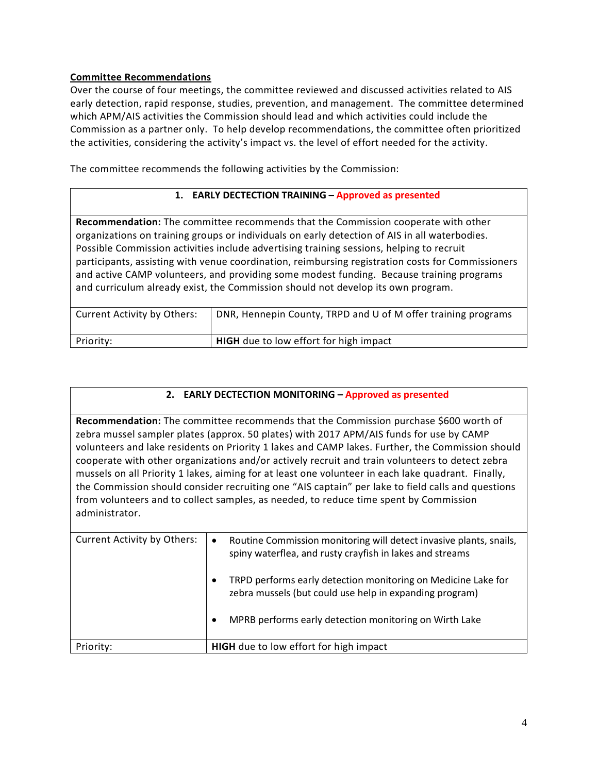#### **Committee Recommendations**

Over the course of four meetings, the committee reviewed and discussed activities related to AIS early detection, rapid response, studies, prevention, and management. The committee determined which APM/AIS activities the Commission should lead and which activities could include the Commission as a partner only. To help develop recommendations, the committee often prioritized the activities, considering the activity's impact vs. the level of effort needed for the activity.

The committee recommends the following activities by the Commission:

#### **1. EARLY DECTECTION TRAINING – Approved as presented**

**Recommendation:** The committee recommends that the Commission cooperate with other organizations on training groups or individuals on early detection of AIS in all waterbodies. Possible Commission activities include advertising training sessions, helping to recruit participants, assisting with venue coordination, reimbursing registration costs for Commissioners and active CAMP volunteers, and providing some modest funding. Because training programs and curriculum already exist, the Commission should not develop its own program.

| Current Activity by Others: | DNR, Hennepin County, TRPD and U of M offer training programs |
|-----------------------------|---------------------------------------------------------------|
| Priority:                   | <b>HIGH</b> due to low effort for high impact                 |

#### **2. EARLY DECTECTION MONITORING – Approved as presented**

**Recommendation:** The committee recommends that the Commission purchase \$600 worth of zebra mussel sampler plates (approx. 50 plates) with 2017 APM/AIS funds for use by CAMP volunteers and lake residents on Priority 1 lakes and CAMP lakes. Further, the Commission should cooperate with other organizations and/or actively recruit and train volunteers to detect zebra mussels on all Priority 1 lakes, aiming for at least one volunteer in each lake quadrant. Finally, the Commission should consider recruiting one "AIS captain" per lake to field calls and questions from volunteers and to collect samples, as needed, to reduce time spent by Commission administrator.

| <b>Current Activity by Others:</b> | Routine Commission monitoring will detect invasive plants, snails,<br>$\bullet$<br>spiny waterflea, and rusty crayfish in lakes and streams<br>TRPD performs early detection monitoring on Medicine Lake for<br>٠ |
|------------------------------------|-------------------------------------------------------------------------------------------------------------------------------------------------------------------------------------------------------------------|
|                                    | zebra mussels (but could use help in expanding program)<br>MPRB performs early detection monitoring on Wirth Lake<br>٠                                                                                            |
| Priority:                          | HIGH due to low effort for high impact                                                                                                                                                                            |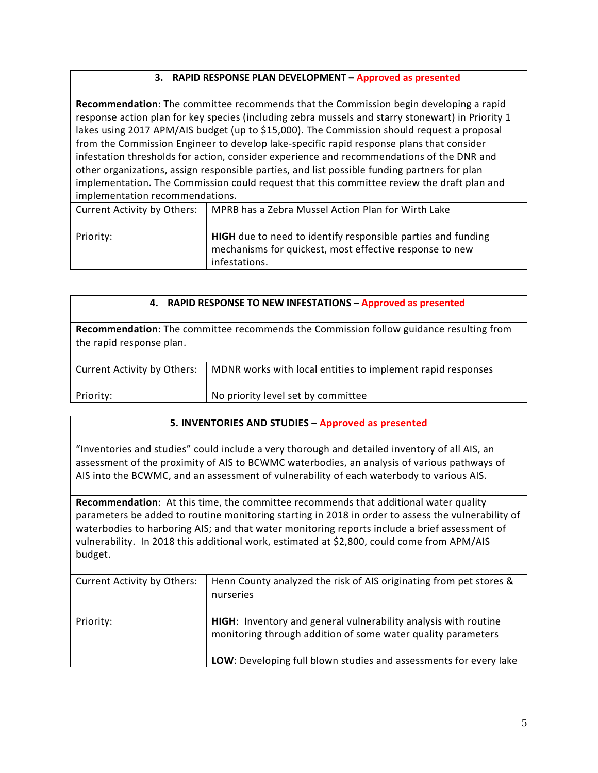#### **3. RAPID RESPONSE PLAN DEVELOPMENT – Approved as presented**

**Recommendation**: The committee recommends that the Commission begin developing a rapid response action plan for key species (including zebra mussels and starry stonewart) in Priority 1 lakes using 2017 APM/AIS budget (up to \$15,000). The Commission should request a proposal from the Commission Engineer to develop lake-specific rapid response plans that consider infestation thresholds for action, consider experience and recommendations of the DNR and other organizations, assign responsible parties, and list possible funding partners for plan implementation. The Commission could request that this committee review the draft plan and implementation recommendations.

| Current Activity by Others: | MPRB has a Zebra Mussel Action Plan for Wirth Lake                                                                                       |
|-----------------------------|------------------------------------------------------------------------------------------------------------------------------------------|
| Priority:                   | HIGH due to need to identify responsible parties and funding<br>mechanisms for quickest, most effective response to new<br>infestations. |

#### **4. RAPID RESPONSE TO NEW INFESTATIONS – Approved as presented**

**Recommendation**: The committee recommends the Commission follow guidance resulting from the rapid response plan.

| Current Activity by Others: | MDNR works with local entities to implement rapid responses |
|-----------------------------|-------------------------------------------------------------|
| Priority:                   | No priority level set by committee                          |

#### **5. INVENTORIES AND STUDIES – Approved as presented**

"Inventories and studies" could include a very thorough and detailed inventory of all AIS, an assessment of the proximity of AIS to BCWMC waterbodies, an analysis of various pathways of AIS into the BCWMC, and an assessment of vulnerability of each waterbody to various AIS.

**Recommendation**: At this time, the committee recommends that additional water quality parameters be added to routine monitoring starting in 2018 in order to assess the vulnerability of waterbodies to harboring AIS; and that water monitoring reports include a brief assessment of vulnerability. In 2018 this additional work, estimated at \$2,800, could come from APM/AIS budget.

| <b>Current Activity by Others:</b> | Henn County analyzed the risk of AIS originating from pet stores &<br>nurseries                                                                                                                      |
|------------------------------------|------------------------------------------------------------------------------------------------------------------------------------------------------------------------------------------------------|
| Priority:                          | HIGH: Inventory and general vulnerability analysis with routine<br>monitoring through addition of some water quality parameters<br>LOW: Developing full blown studies and assessments for every lake |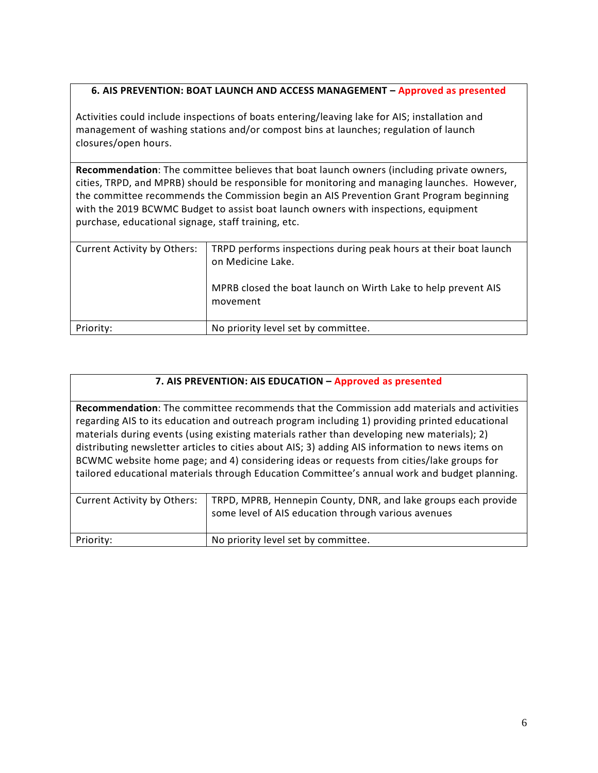# **6. AIS PREVENTION: BOAT LAUNCH AND ACCESS MANAGEMENT – Approved as presented**

Activities could include inspections of boats entering/leaving lake for AIS; installation and management of washing stations and/or compost bins at launches; regulation of launch closures/open hours.

**Recommendation**: The committee believes that boat launch owners (including private owners, cities, TRPD, and MPRB) should be responsible for monitoring and managing launches. However, the committee recommends the Commission begin an AIS Prevention Grant Program beginning with the 2019 BCWMC Budget to assist boat launch owners with inspections, equipment purchase, educational signage, staff training, etc.

| <b>Current Activity by Others:</b> | TRPD performs inspections during peak hours at their boat launch<br>on Medicine Lake.<br>MPRB closed the boat launch on Wirth Lake to help prevent AIS<br>movement |
|------------------------------------|--------------------------------------------------------------------------------------------------------------------------------------------------------------------|
| Priority:                          | No priority level set by committee.                                                                                                                                |

#### **7. AIS PREVENTION: AIS EDUCATION – Approved as presented**

**Recommendation**: The committee recommends that the Commission add materials and activities regarding AIS to its education and outreach program including 1) providing printed educational materials during events (using existing materials rather than developing new materials); 2) distributing newsletter articles to cities about AIS; 3) adding AIS information to news items on BCWMC website home page; and 4) considering ideas or requests from cities/lake groups for tailored educational materials through Education Committee's annual work and budget planning.

| <b>Current Activity by Others:</b> | TRPD, MPRB, Hennepin County, DNR, and lake groups each provide<br>some level of AIS education through various avenues |
|------------------------------------|-----------------------------------------------------------------------------------------------------------------------|
| Priority:                          | No priority level set by committee.                                                                                   |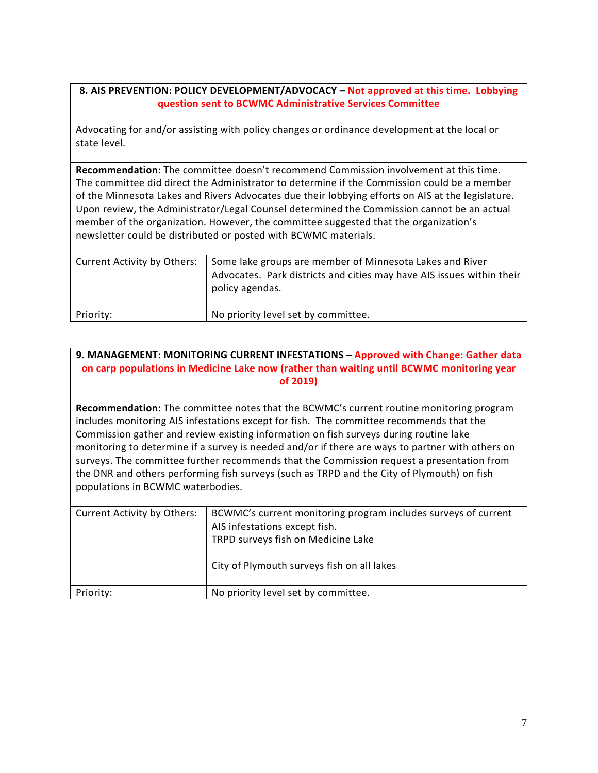#### **8. AIS PREVENTION: POLICY DEVELOPMENT/ADVOCACY – Not approved at this time. Lobbying question sent to BCWMC Administrative Services Committee**

Advocating for and/or assisting with policy changes or ordinance development at the local or state level.

**Recommendation**: The committee doesn't recommend Commission involvement at this time. The committee did direct the Administrator to determine if the Commission could be a member of the Minnesota Lakes and Rivers Advocates due their lobbying efforts on AIS at the legislature. Upon review, the Administrator/Legal Counsel determined the Commission cannot be an actual member of the organization. However, the committee suggested that the organization's newsletter could be distributed or posted with BCWMC materials.

| Current Activity by Others: | Some lake groups are member of Minnesota Lakes and River<br>Advocates. Park districts and cities may have AIS issues within their<br>policy agendas. |
|-----------------------------|------------------------------------------------------------------------------------------------------------------------------------------------------|
| Priority:                   | No priority level set by committee.                                                                                                                  |

# **9. MANAGEMENT: MONITORING CURRENT INFESTATIONS – Approved with Change: Gather data on carp populations in Medicine Lake now (rather than waiting until BCWMC monitoring year of 2019)**

**Recommendation:** The committee notes that the BCWMC's current routine monitoring program includes monitoring AIS infestations except for fish. The committee recommends that the Commission gather and review existing information on fish surveys during routine lake monitoring to determine if a survey is needed and/or if there are ways to partner with others on surveys. The committee further recommends that the Commission request a presentation from the DNR and others performing fish surveys (such as TRPD and the City of Plymouth) on fish populations in BCWMC waterbodies.

| <b>Current Activity by Others:</b> | BCWMC's current monitoring program includes surveys of current<br>AIS infestations except fish.<br>TRPD surveys fish on Medicine Lake<br>City of Plymouth surveys fish on all lakes |
|------------------------------------|-------------------------------------------------------------------------------------------------------------------------------------------------------------------------------------|
| Priority:                          | No priority level set by committee.                                                                                                                                                 |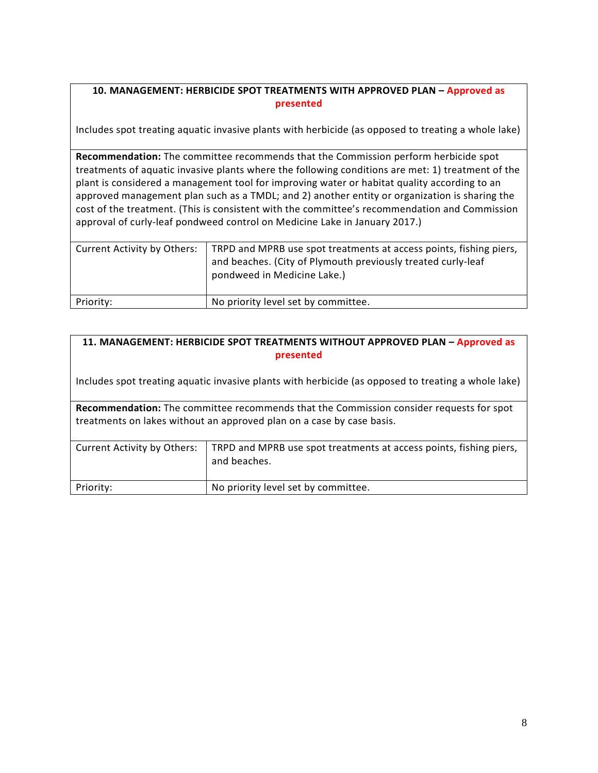# **10. MANAGEMENT: HERBICIDE SPOT TREATMENTS WITH APPROVED PLAN – Approved as presented**

Includes spot treating aquatic invasive plants with herbicide (as opposed to treating a whole lake)

**Recommendation:** The committee recommends that the Commission perform herbicide spot treatments of aquatic invasive plants where the following conditions are met: 1) treatment of the plant is considered a management tool for improving water or habitat quality according to an approved management plan such as a TMDL; and 2) another entity or organization is sharing the cost of the treatment. (This is consistent with the committee's recommendation and Commission approval of curly-leaf pondweed control on Medicine Lake in January 2017.)

| Current Activity by Others: | TRPD and MPRB use spot treatments at access points, fishing piers,<br>and beaches. (City of Plymouth previously treated curly-leaf<br>pondweed in Medicine Lake.) |
|-----------------------------|-------------------------------------------------------------------------------------------------------------------------------------------------------------------|
| Priority:                   | No priority level set by committee.                                                                                                                               |

### **11. MANAGEMENT: HERBICIDE SPOT TREATMENTS WITHOUT APPROVED PLAN – Approved as presented**

Includes spot treating aquatic invasive plants with herbicide (as opposed to treating a whole lake)

**Recommendation:** The committee recommends that the Commission consider requests for spot treatments on lakes without an approved plan on a case by case basis.

| Current Activity by Others: | TRPD and MPRB use spot treatments at access points, fishing piers,<br>and beaches. |
|-----------------------------|------------------------------------------------------------------------------------|
| Priority:                   | No priority level set by committee.                                                |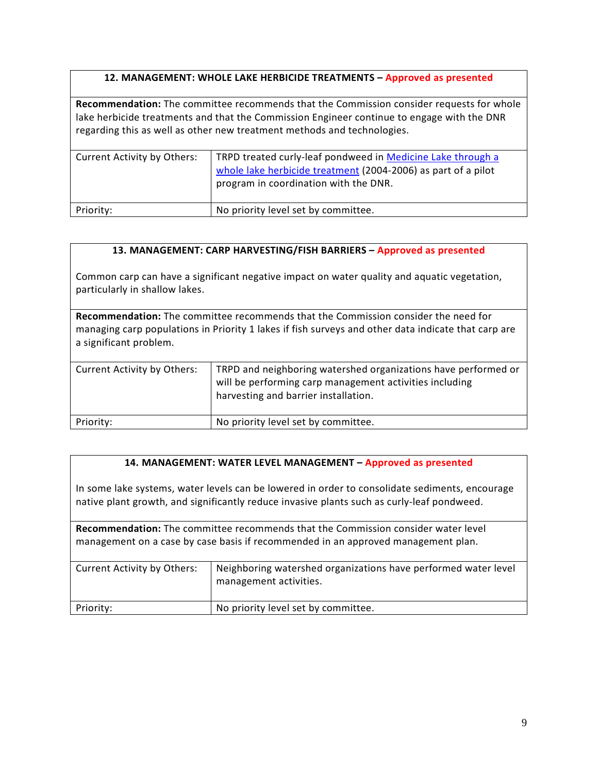### **12. MANAGEMENT: WHOLE LAKE HERBICIDE TREATMENTS – Approved as presented**

**Recommendation:** The committee recommends that the Commission consider requests for whole lake herbicide treatments and that the Commission Engineer continue to engage with the DNR regarding this as well as other new treatment methods and technologies.

| <b>Current Activity by Others:</b> | TRPD treated curly-leaf pondweed in Medicine Lake through a<br>whole lake herbicide treatment (2004-2006) as part of a pilot<br>program in coordination with the DNR. |
|------------------------------------|-----------------------------------------------------------------------------------------------------------------------------------------------------------------------|
| Priority:                          | No priority level set by committee.                                                                                                                                   |

#### **13. MANAGEMENT: CARP HARVESTING/FISH BARRIERS – Approved as presented**

Common carp can have a significant negative impact on water quality and aquatic vegetation, particularly in shallow lakes.

**Recommendation:** The committee recommends that the Commission consider the need for managing carp populations in Priority 1 lakes if fish surveys and other data indicate that carp are a significant problem.

| Current Activity by Others: | TRPD and neighboring watershed organizations have performed or<br>will be performing carp management activities including<br>harvesting and barrier installation. |
|-----------------------------|-------------------------------------------------------------------------------------------------------------------------------------------------------------------|
| Priority:                   | No priority level set by committee.                                                                                                                               |

#### **14. MANAGEMENT: WATER LEVEL MANAGEMENT – Approved as presented**

In some lake systems, water levels can be lowered in order to consolidate sediments, encourage native plant growth, and significantly reduce invasive plants such as curly-leaf pondweed.

**Recommendation:** The committee recommends that the Commission consider water level management on a case by case basis if recommended in an approved management plan.

| <b>Current Activity by Others:</b> | Neighboring watershed organizations have performed water level<br>management activities. |
|------------------------------------|------------------------------------------------------------------------------------------|
| Priority:                          | No priority level set by committee.                                                      |